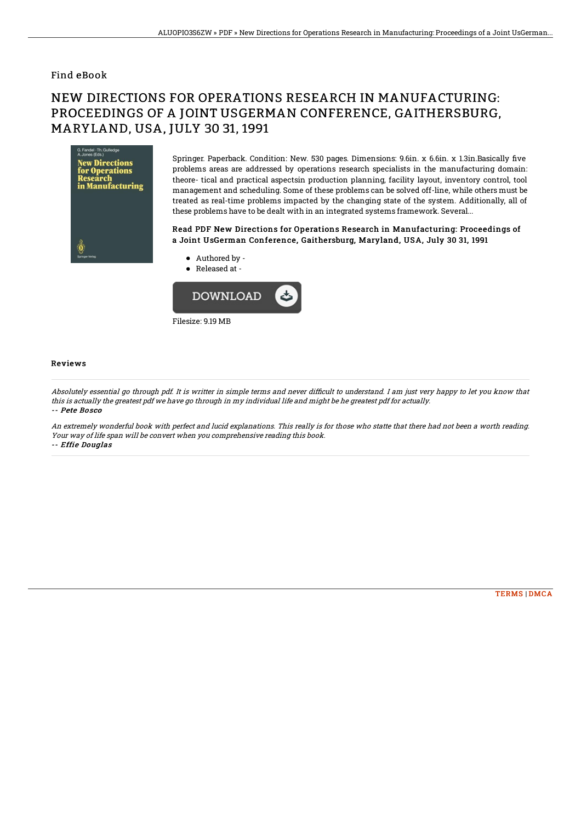### Find eBook

# NEW DIRECTIONS FOR OPERATIONS RESEARCH IN MANUFACTURING: PROCEEDINGS OF A JOINT USGERMAN CONFERENCE, GAITHERSBURG, MARYLAND, USA, JULY 30 31, 1991



Springer. Paperback. Condition: New. 530 pages. Dimensions: 9.6in. x 6.6in. x 1.3in.Basically five problems areas are addressed by operations research specialists in the manufacturing domain: theore- tical and practical aspectsin production planning, facility layout, inventory control, tool management and scheduling. Some of these problems can be solved off-line, while others must be treated as real-time problems impacted by the changing state of the system. Additionally, all of these problems have to be dealt with in an integrated systems framework. Several...

#### Read PDF New Directions for Operations Research in Manufacturing: Proceedings of a Joint UsGerman Conference, Gaithersburg, Maryland, USA, July 30 31, 1991

- Authored by -
- Released at -



#### Reviews

Absolutely essential go through pdf. It is writter in simple terms and never difficult to understand. I am just very happy to let you know that this is actually the greatest pdf we have go through in my individual life and might be he greatest pdf for actually. -- Pete Bosco

An extremely wonderful book with perfect and lucid explanations. This really is for those who statte that there had not been <sup>a</sup> worth reading. Your way of life span will be convert when you comprehensive reading this book. -- Effie Douglas